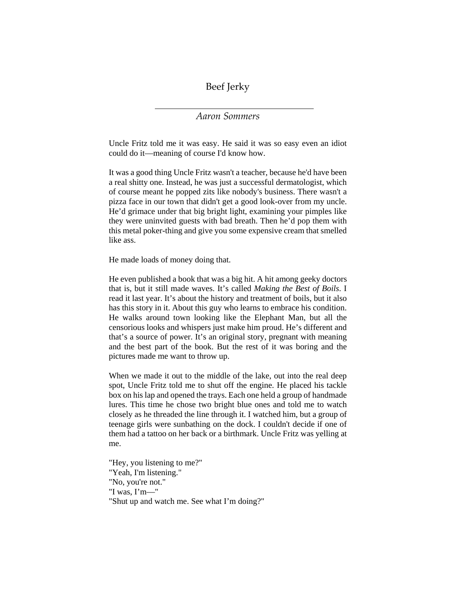Beef Jerky

## *Aaron Sommers*

Uncle Fritz told me it was easy. He said it was so easy even an idiot could do it—meaning of course I'd know how.

It was a good thing Uncle Fritz wasn't a teacher, because he'd have been a real shitty one. Instead, he was just a successful dermatologist, which of course meant he popped zits like nobody's business. There wasn't a pizza face in our town that didn't get a good look-over from my uncle. He'd grimace under that big bright light, examining your pimples like they were uninvited guests with bad breath. Then he'd pop them with this metal poker-thing and give you some expensive cream that smelled like ass.

He made loads of money doing that.

He even published a book that was a big hit. A hit among geeky doctors that is, but it still made waves. It's called *Making the Best of Boils*. I read it last year. It's about the history and treatment of boils, but it also has this story in it. About this guy who learns to embrace his condition. He walks around town looking like the Elephant Man, but all the censorious looks and whispers just make him proud. He's different and that's a source of power. It's an original story, pregnant with meaning and the best part of the book. But the rest of it was boring and the pictures made me want to throw up.

When we made it out to the middle of the lake, out into the real deep spot, Uncle Fritz told me to shut off the engine. He placed his tackle box on his lap and opened the trays. Each one held a group of handmade lures. This time he chose two bright blue ones and told me to watch closely as he threaded the line through it. I watched him, but a group of teenage girls were sunbathing on the dock. I couldn't decide if one of them had a tattoo on her back or a birthmark. Uncle Fritz was yelling at me.

"Hey, you listening to me?" "Yeah, I'm listening." "No, you're not." "I was, I'm—" "Shut up and watch me. See what I'm doing?"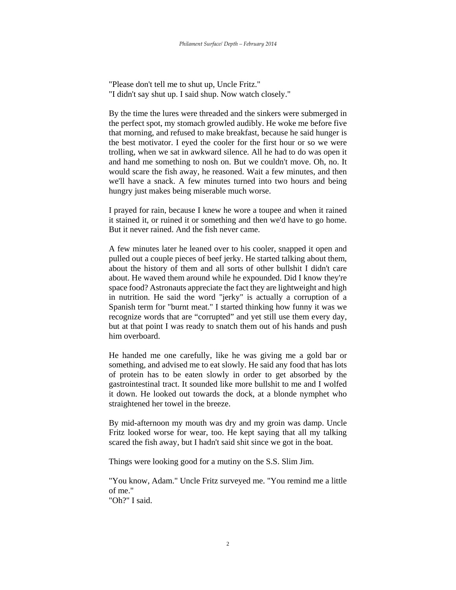"Please don't tell me to shut up, Uncle Fritz." "I didn't say shut up. I said shup. Now watch closely."

By the time the lures were threaded and the sinkers were submerged in the perfect spot, my stomach growled audibly. He woke me before five that morning, and refused to make breakfast, because he said hunger is the best motivator. I eyed the cooler for the first hour or so we were trolling, when we sat in awkward silence. All he had to do was open it and hand me something to nosh on. But we couldn't move. Oh, no. It would scare the fish away, he reasoned. Wait a few minutes, and then we'll have a snack. A few minutes turned into two hours and being hungry just makes being miserable much worse.

I prayed for rain, because I knew he wore a toupee and when it rained it stained it, or ruined it or something and then we'd have to go home. But it never rained. And the fish never came.

A few minutes later he leaned over to his cooler, snapped it open and pulled out a couple pieces of beef jerky. He started talking about them, about the history of them and all sorts of other bullshit I didn't care about. He waved them around while he expounded. Did I know they're space food? Astronauts appreciate the fact they are lightweight and high in nutrition. He said the word "jerky" is actually a corruption of a Spanish term for "burnt meat." I started thinking how funny it was we recognize words that are "corrupted" and yet still use them every day, but at that point I was ready to snatch them out of his hands and push him overboard.

He handed me one carefully, like he was giving me a gold bar or something, and advised me to eat slowly. He said any food that has lots of protein has to be eaten slowly in order to get absorbed by the gastrointestinal tract. It sounded like more bullshit to me and I wolfed it down. He looked out towards the dock, at a blonde nymphet who straightened her towel in the breeze.

By mid-afternoon my mouth was dry and my groin was damp. Uncle Fritz looked worse for wear, too. He kept saying that all my talking scared the fish away, but I hadn't said shit since we got in the boat.

Things were looking good for a mutiny on the S.S. Slim Jim.

"You know, Adam." Uncle Fritz surveyed me. "You remind me a little of me."

"Oh?" I said.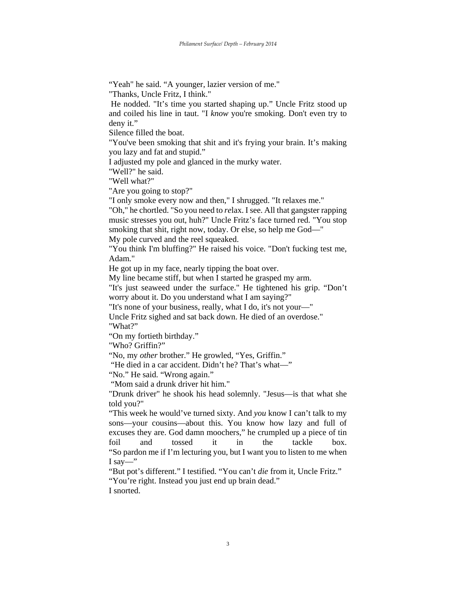"Yeah" he said. "A younger, lazier version of me."

"Thanks, Uncle Fritz, I think."

 He nodded. "It's time you started shaping up." Uncle Fritz stood up and coiled his line in taut. "I *know* you're smoking. Don't even try to deny it."

Silence filled the boat.

"You've been smoking that shit and it's frying your brain. It's making you lazy and fat and stupid."

I adjusted my pole and glanced in the murky water.

"Well?" he said.

"Well what?"

"Are you going to stop?"

"I only smoke every now and then," I shrugged. "It relaxes me."

"Oh," he chortled. "So you need to *re*lax. I see. All that gangster rapping music stresses you out, huh?" Uncle Fritz's face turned red. "You stop smoking that shit, right now, today. Or else, so help me God—"

My pole curved and the reel squeaked.

"You think I'm bluffing?" He raised his voice. "Don't fucking test me, Adam."

He got up in my face, nearly tipping the boat over.

My line became stiff, but when I started he grasped my arm.

"It's just seaweed under the surface." He tightened his grip. "Don't worry about it. Do you understand what I am saying?"

"It's none of your business, really, what I do, it's not your—"

Uncle Fritz sighed and sat back down. He died of an overdose." "What?"

"On my fortieth birthday."

"Who? Griffin?"

"No, my *other* brother." He growled, "Yes, Griffin."

"He died in a car accident. Didn't he? That's what—"

"No." He said. "Wrong again."

"Mom said a drunk driver hit him."

"Drunk driver" he shook his head solemnly. "Jesus—is that what she told you?"

"This week he would've turned sixty. And *you* know I can't talk to my sons—your cousins—about this. You know how lazy and full of excuses they are. God damn moochers," he crumpled up a piece of tin foil and tossed it in the tackle box. "So pardon me if I'm lecturing you, but I want you to listen to me when I say—"

"But pot's different." I testified. "You can't *die* from it, Uncle Fritz." "You're right. Instead you just end up brain dead."

I snorted.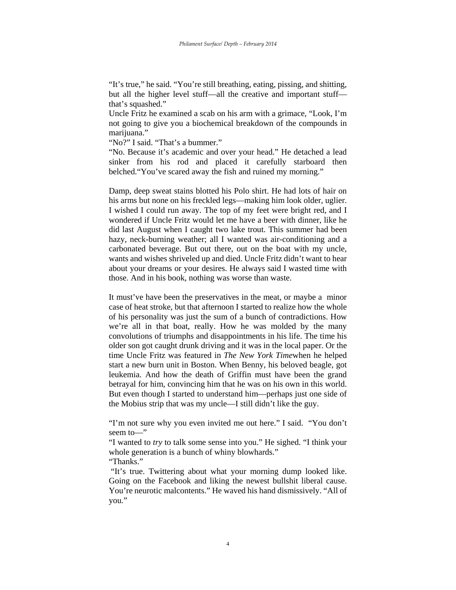"It's true," he said. "You're still breathing, eating, pissing, and shitting, but all the higher level stuff—all the creative and important stuff that's squashed."

Uncle Fritz he examined a scab on his arm with a grimace, "Look, I'm not going to give you a biochemical breakdown of the compounds in marijuana."

"No?" I said. "That's a bummer."

"No. Because it's academic and over your head." He detached a lead sinker from his rod and placed it carefully starboard then belched."You've scared away the fish and ruined my morning."

Damp, deep sweat stains blotted his Polo shirt. He had lots of hair on his arms but none on his freckled legs—making him look older, uglier. I wished I could run away. The top of my feet were bright red, and I wondered if Uncle Fritz would let me have a beer with dinner, like he did last August when I caught two lake trout. This summer had been hazy, neck-burning weather; all I wanted was air-conditioning and a carbonated beverage. But out there, out on the boat with my uncle, wants and wishes shriveled up and died. Uncle Fritz didn't want to hear about your dreams or your desires. He always said I wasted time with those. And in his book, nothing was worse than waste.

It must've have been the preservatives in the meat, or maybe a minor case of heat stroke, but that afternoon I started to realize how the whole of his personality was just the sum of a bunch of contradictions. How we're all in that boat, really. How he was molded by the many convolutions of triumphs and disappointments in his life. The time his older son got caught drunk driving and it was in the local paper. Or the time Uncle Fritz was featured in *The New York Time*when he helped start a new burn unit in Boston. When Benny, his beloved beagle, got leukemia. And how the death of Griffin must have been the grand betrayal for him, convincing him that he was on his own in this world. But even though I started to understand him—perhaps just one side of the Mobius strip that was my uncle—I still didn't like the guy.

"I'm not sure why you even invited me out here." I said. "You don't seem to—"

"I wanted to *try* to talk some sense into you." He sighed. "I think your whole generation is a bunch of whiny blowhards."

"Thanks."

 "It's true. Twittering about what your morning dump looked like. Going on the Facebook and liking the newest bullshit liberal cause. You're neurotic malcontents." He waved his hand dismissively. "All of you."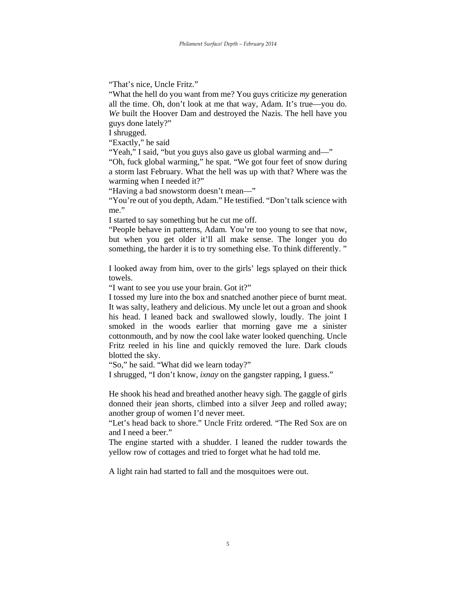"That's nice, Uncle Fritz."

"What the hell do you want from me? You guys criticize *my* generation all the time. Oh, don't look at me that way, Adam. It's true—you do. *We* built the Hoover Dam and destroyed the Nazis. The hell have you guys done lately?"

I shrugged.

"Exactly," he said

"Yeah," I said, "but you guys also gave us global warming and—"

"Oh, fuck global warming," he spat. "We got four feet of snow during a storm last February. What the hell was up with that? Where was the warming when I needed it?"

"Having a bad snowstorm doesn't mean—"

"You're out of you depth, Adam." He testified. "Don't talk science with me."

I started to say something but he cut me off.

"People behave in patterns, Adam. You're too young to see that now, but when you get older it'll all make sense. The longer you do something, the harder it is to try something else. To think differently. "

I looked away from him, over to the girls' legs splayed on their thick towels.

"I want to see you use your brain. Got it?"

I tossed my lure into the box and snatched another piece of burnt meat. It was salty, leathery and delicious. My uncle let out a groan and shook his head. I leaned back and swallowed slowly, loudly. The joint I smoked in the woods earlier that morning gave me a sinister cottonmouth, and by now the cool lake water looked quenching. Uncle Fritz reeled in his line and quickly removed the lure. Dark clouds blotted the sky.

"So," he said. "What did we learn today?"

I shrugged, "I don't know, *ixnay* on the gangster rapping, I guess."

He shook his head and breathed another heavy sigh. The gaggle of girls donned their jean shorts, climbed into a silver Jeep and rolled away; another group of women I'd never meet.

"Let's head back to shore." Uncle Fritz ordered. "The Red Sox are on and I need a beer."

The engine started with a shudder. I leaned the rudder towards the yellow row of cottages and tried to forget what he had told me.

A light rain had started to fall and the mosquitoes were out.